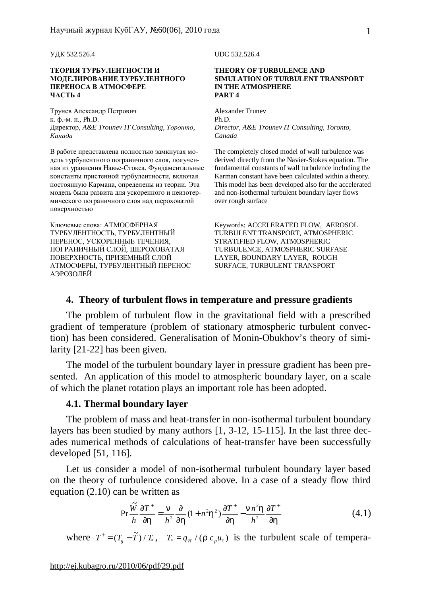УДК 532.526.4 UDC 532.526.4

#### **ТЕОРИЯ ТУРБУЛЕНТНОСТИ И МОДЕЛИРОВАНИЕ ТУРБУЛЕНТНОГО ПЕРЕНОСА В АТМОСФЕРЕ ЧАСТЬ 4**

Трунев Александр Петрович к. ф.-м. н., Ph.D. Директор, *A&E Trounev IT Consulting, Торонто, Канада*

В работе представлена полностью замкнутая модель турбулентного пограничного слоя, полученная из уравнения Навье-Стокса. Фундаментальные константы пристенной турбулентности, включая постоянную Кармана, определены из теории. Эта модель была развита для ускоренного и неизотермического пограничного слоя над шероховатой поверхностью

Ключевые слова: АТМОСФЕРНАЯ ТУРБУЛЕНТНОСТЬ, ТУРБУЛЕНТНЫЙ ПЕРЕНОС, УСКОРЕННЫЕ ТЕЧЕНИЯ, ПОГРАНИЧНЫЙ СЛОЙ, ШЕРОХОВАТАЯ ПОВЕРХНОСТЬ, ПРИЗЕМНЫЙ СЛОЙ АТМОСФЕРЫ, ТУРБУЛЕНТНЫЙ ПЕРЕНОС АЭРОЗОЛЕЙ

#### **THEORY OF TURBULENCE AND SIMULATION OF TURBULENT TRANSPORT IN THE ATMOSPHERE PART 4**

Alexander Trunev Ph.D. *Director, A&E Trounev IT Consulting, Toronto, Canada* 

The completely closed model of wall turbulence was derived directly from the Navier-Stokes equation. The fundamental constants of wall turbulence including the Karman constant have been calculated within a theory. This model has been developed also for the accelerated and non-isothermal turbulent boundary layer flows over rough surface

Keywords: ACCELERATED FLOW, AEROSOL TURBULENT TRANSPORT, ATMOSPHERIC STRATIFIED FLOW, ATMOSPHERIC TURBULENCE, ATMOSPHERIC SURFASE LAYER, BOUNDARY LAYER, ROUGH SURFACE, TURBULENT TRANSPORT

## **4. Theory of turbulent flows in temperature and pressure gradients**

The problem of turbulent flow in the gravitational field with a prescribed gradient of temperature (problem of stationary atmospheric turbulent convection) has been considered. Generalisation of Monin-Obukhov's theory of similarity [21-22] has been given.

The model of the turbulent boundary layer in pressure gradient has been presented. An application of this model to atmospheric boundary layer, on a scale of which the planet rotation plays an important role has been adopted.

#### **4.1. Thermal boundary layer**

The problem of mass and heat-transfer in non-isothermal turbulent boundary layers has been studied by many authors [1, 3-12, 15-115]. In the last three decades numerical methods of calculations of heat-transfer have been successfully developed [51, 116].

Let us consider a model of non-isothermal turbulent boundary layer based on the theory of turbulence considered above. In a case of a steady flow third equation (2.10) can be written as

$$
\Pr \frac{\widetilde{W}}{h} \frac{\partial T^+}{\partial h} = \frac{n}{h^2} \frac{\partial}{\partial h} (1 + n^2 h^2) \frac{\partial T^+}{\partial h} - \frac{n n^2 h}{h^2} \frac{\partial T^+}{\partial h}
$$
(4.1)

where  $T^+ = (T_g - \tilde{T}) / T_*$ ,  $T_* = q_H / (r c_p u_t)$  is the turbulent scale of tempera-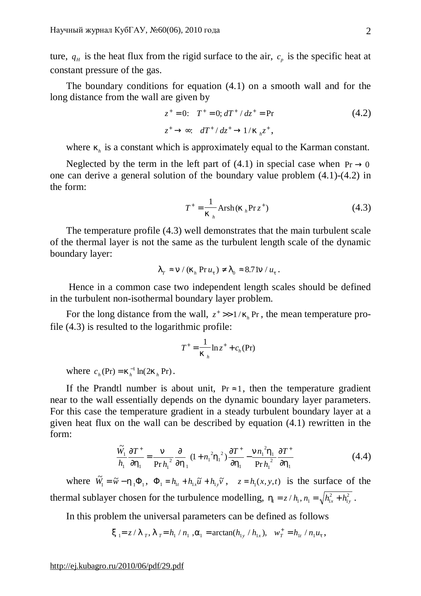ture,  $q_H$  is the heat flux from the rigid surface to the air,  $c_p$  is the specific heat at constant pressure of the gas.

The boundary conditions for equation (4.1) on a smooth wall and for the long distance from the wall are given by

$$
z^{+} = 0; \t T^{+} = 0; dT^{+} / dz^{+} = \text{Pr}
$$
  
\n
$$
z^{+} \to \infty; \t dT^{+} / dz^{+} \to 1 / k_{h} z^{+},
$$
\n(4.2)

where  $k_h$  is a constant which is approximately equal to the Karman constant.

Neglected by the term in the left part of (4.1) in special case when  $Pr \rightarrow 0$ one can derive a general solution of the boundary value problem (4.1)-(4.2) in the form:

$$
T^{+} = \frac{1}{k_{h}} \text{Arsh}(k_{h} \text{Pr} z^{+})
$$
 (4.3)

The temperature profile (4.3) well demonstrates that the main turbulent scale of the thermal layer is not the same as the turbulent length scale of the dynamic boundary layer:

$$
IT \approx n / (kh Pr ut) \neq I0 \approx 8.71n / ut.
$$

Hence in a common case two independent length scales should be defined in the turbulent non-isothermal boundary layer problem.

For the long distance from the wall,  $z^+ \gg 1 / k_h$  Pr, the mean temperature profile (4.3) is resulted to the logarithmic profile:

$$
T^+ = \frac{1}{k_h} \ln z^+ + c_h(\Pr)
$$

where  $c_h$ (Pr) =  $k_h^{-1}$  ln(2 $k_h$  Pr).

If the Prandtl number is about unit,  $Pr \approx 1$ , then the temperature gradient near to the wall essentially depends on the dynamic boundary layer parameters. For this case the temperature gradient in a steady turbulent boundary layer at a given heat flux on the wall can be described by equation (4.1) rewritten in the form:

$$
\frac{\tilde{W}_1}{h_1} \frac{\partial T^+}{\partial h_1} = \frac{n}{\Pr h_1^2} \frac{\partial}{\partial h_1} (1 + n_1^2 h_1^2) \frac{\partial T^+}{\partial h_1} - \frac{n n_1^2 h_1}{\Pr h_1^2} \frac{\partial T^+}{\partial h_1}
$$
(4.4)

where  $\widetilde{W}_1 = \widetilde{w} - h_1 \Phi_1$ ,  $\Phi_1 = h_{1t} + h_{1x} \widetilde{u} + h_{1y} \widetilde{v}$ ,  $z = h_1(x, y, t)$  is the surface of the thermal sublayer chosen for the turbulence modelling,  $h_1 = z/h_1, n_1 = \sqrt{h_1^2}$ 1  $= z / h_1, n_1 = \sqrt{h_{1x}^2 + h_{1y}^2}$ .

In this problem the universal parameters can be defined as follows

$$
x_1 = z / l_T
$$
,  $l_T = h_1 / n_1$ ,  $a_1 = \arctan(h_{1y} / h_{1x})$ ,  $w_T^+ = h_{1t} / n_1 u_t$ ,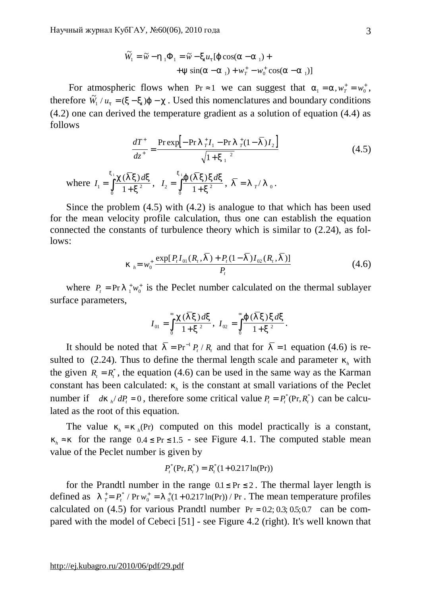$$
\widetilde{W}_1 = \widetilde{w} - h_1 \Phi_1 = \widetilde{w} - x_1 u_t [j \cos(a - a_1) ++ y \sin(a - a_1) + w_1^+ - w_0^+ \cos(a - a_1)]
$$

For atmospheric flows when Pr  $\approx$  1 we can suggest that  $a_1 = a$ ,  $w_T^+ = w_0^+$ , therefore  $\tilde{W}_1 / u_t = (x - x_1)j - c$ . Used this nomenclatures and boundary conditions (4.2) one can derived the temperature gradient as a solution of equation (4.4) as follows

$$
\frac{dT^{+}}{dz^{+}} = \frac{\text{Prexp}\left[-\text{Pr}\ I_{T}^{+}I_{1} - \text{Pr}\ I_{T}^{+}(1-\bar{I})I_{2}\right]}{\sqrt{1 + {x_{1}}^{2}}}
$$
\nwhere  $I_{1} = \int_{0}^{x_{1}} \frac{c(\bar{I}x)dx}{1 + {x^{2}}}, I_{2} = \int_{0}^{x_{1}} \frac{j(\bar{I}x)xdx}{1 + {x^{2}}}, \ \bar{I} = I_{T}/I_{0}.$  (4.5)

Since the problem (4.5) with (4.2) is analogue to that which has been used for the mean velocity profile calculation, thus one can establish the equation connected the constants of turbulence theory which is similar to (2.24), as follows:

$$
k_{h} = w_{0}^{+} \frac{\exp[P_{t}I_{01}(R_{t}, \overline{I}) + P_{t}(1-\overline{I})I_{02}(R_{t}, \overline{I})]}{P_{t}}
$$
(4.6)

where  $P_t = Pr I_{1}^{+} w_0^{+}$  is the Peclet number calculated on the thermal sublayer surface parameters,

$$
I_{01} = \int_{0}^{\infty} \frac{c(\overline{I}x) dx}{1+x^2}, I_{02} = \int_{0}^{\infty} \frac{j(\overline{I}x) x dx}{1+x^2}.
$$

It should be noted that  $\overline{I} = Pr^{-1} P_t / R_t$  and that for  $\overline{I} = 1$  equation (4.6) is resulted to (2.24). Thus to define the thermal length scale and parameter  $k<sub>h</sub>$  with the given  $R_t = R_t^*$ , the equation (4.6) can be used in the same way as the Karman constant has been calculated:  $k<sub>h</sub>$  is the constant at small variations of the Peclet number if *dk*  $_h/dP_t = 0$ , therefore some critical value  $P_t = P_t^*(Pr, R_t^*)$  can be calculated as the root of this equation.

The value  $k_h = k_h$ (Pr) computed on this model practically is a constant,  $k_h$  ≈ *k* for the range 0.4 ≤ Pr ≤ 1.5 - see Figure 4.1. The computed stable mean value of the Peclet number is given by

$$
P_t^*(\Pr, R_t^*) = R_t^*(1 + 0.217 \ln(\Pr))
$$

for the Prandtl number in the range  $0.1 \leq Pr \leq 2$ . The thermal layer length is defined as  $I^+_{T} = P_t^* / Pr w_0^* = I^+_{0}(1 + 0.217 ln(Pr)) / Pr$ . The mean temperature profiles calculated on  $(4.5)$  for various Prandtl number Pr = 0.2; 0.3; 0.5; 0.7 can be compared with the model of Cebeci [51] - see Figure 4.2 (right). It's well known that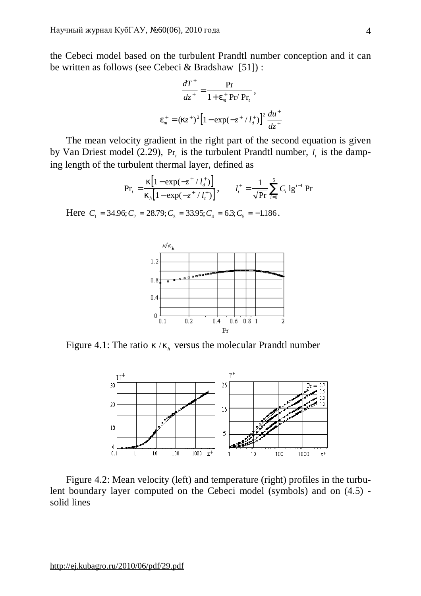the Cebeci model based on the turbulent Prandtl number conception and it can be written as follows (see Cebeci & Bradshaw [51]) :

$$
\frac{dT^+}{dz^+} = \frac{\Pr}{1 + e_m^+ \Pr / \Pr_t},
$$

$$
e_m^+ = (kz^+)^2 \left[1 - \exp(-z^+ / l_d^+)\right]^2 \frac{du^+}{dz^+}
$$

The mean velocity gradient in the right part of the second equation is given by Van Driest model (2.29),  $Pr_t$  is the turbulent Prandtl number,  $l_t$  is the damping length of the turbulent thermal layer, defined as

$$
\Pr_t = \frac{k[1 - \exp(-z^+ / l_d^+)]}{k_h[1 - \exp(-z^+ / l_t^+)]}, \qquad l_t^+ = \frac{1}{\sqrt{Pr}} \sum_{i=1}^5 C_i \lg^{i-1} \Pr
$$

Here  $C_1 = 34.96; C_2 = 28.79; C_3 = 33.95; C_4 = 6.3; C_5 = -1.186$ .



Figure 4.1: The ratio  $k/k_h$  versus the molecular Prandtl number



Figure 4.2: Mean velocity (left) and temperature (right) profiles in the turbulent boundary layer computed on the Cebeci model (symbols) and on (4.5) solid lines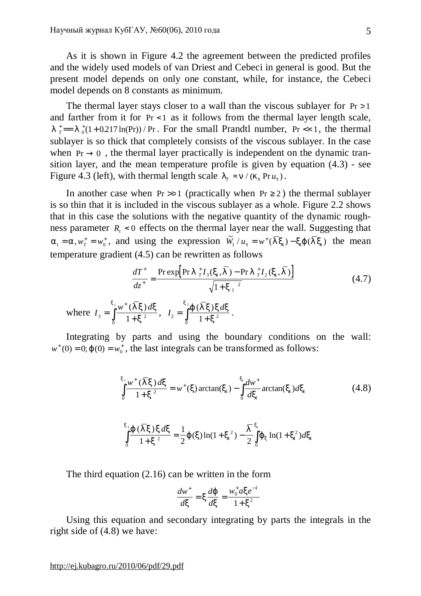As it is shown in Figure 4.2 the agreement between the predicted profiles and the widely used models of van Driest and Cebeci in general is good. But the present model depends on only one constant, while, for instance, the Cebeci model depends on 8 constants as minimum.

The thermal layer stays closer to a wall than the viscous sublayer for  $Pr > 1$ and farther from it for Pr < 1 as it follows from the thermal layer length scale,  $l^+$ <sub>*T*</sub>  $=$  *l*<sub>0</sub><sup> $+$ </sup>(1+0.217 ln(Pr)) / Pr. For the small Prandtl number, Pr << 1, the thermal sublayer is so thick that completely consists of the viscous sublayer. In the case when  $Pr \rightarrow 0$ , the thermal layer practically is independent on the dynamic transition layer, and the mean temperature profile is given by equation (4.3) - see Figure 4.3 (left), with thermal length scale  $I_r \approx n/(k_h Pr u_t)$ .

In another case when  $Pr \gg 1$  (practically when  $Pr \ge 2$ ) the thermal sublayer is so thin that it is included in the viscous sublayer as a whole. Figure 2.2 shows that in this case the solutions with the negative quantity of the dynamic roughness parameter  $R_t$  < 0 effects on the thermal layer near the wall. Suggesting that  $a_1 = a, w^+_T = w^+_0$ , and using the expression  $\tilde{W}_1 / u_t = w^+ (\overline{I}x_1) - xJ (\overline{I}x_1)$  the mean temperature gradient (4.5) can be rewritten as follows

$$
\frac{dT^{+}}{dz^{+}} = \frac{\operatorname{Prexp}\left[\operatorname{Pr} l_{T}^{+} I_{3}(x_{1}, \overline{I}) - \operatorname{Pr} l_{T}^{+} I_{2}(x_{1}, \overline{I})\right]}{\sqrt{1 + {x_{1}}^{2}}}
$$
\nwhere 
$$
I_{3} = \int_{0}^{x_{1}} \frac{w^{+} (\overline{I} x) dx}{1 + x^{2}}, \quad I_{2} = \int_{0}^{x_{1}} \frac{j(\overline{I} x) x dx}{1 + x^{2}}.
$$
\n(4.7)

Integrating by parts and using the boundary conditions on the wall:  $w^+(0) = 0; j(0) = w_0^+$ , the last integrals can be transformed as follows:

$$
\int_{0}^{x_1} \frac{w^+ (\overline{I}x) dx}{1+x^2} = w^+(x) \arctan(x_1) - \int_{0}^{x_1} \frac{dw^+}{dx_1} \arctan(x_1) dx_1 \tag{4.8}
$$

$$
\int_{0}^{x_{1}} \frac{j(\overline{I}x) \, x \, dx}{1+x^{2}} = \frac{1}{2} j(x) \ln(1+x_{1}^{2}) - \frac{\overline{I}}{2} \int_{0}^{x_{1}} j_{x} \ln(1+x_{1}^{2}) \, dx_{1}
$$

The third equation (2.16) can be written in the form

$$
\frac{dw^{+}}{dx} = x\frac{dj}{dx} = \frac{w_0^{+}axe^{-1}}{1+x^2}
$$

Using this equation and secondary integrating by parts the integrals in the right side of (4.8) we have:

<http://ej.kubagro.ru/2010/06/pdf/29.pdf>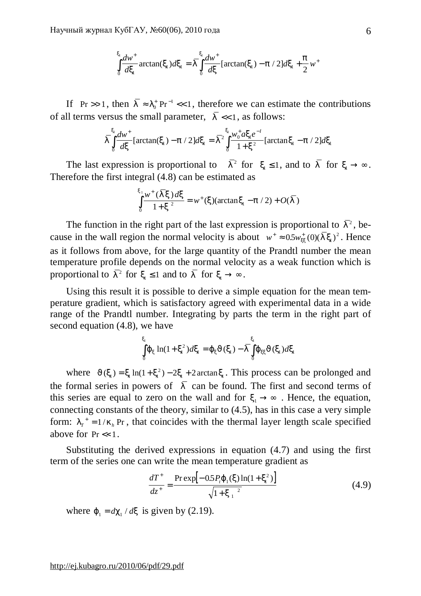$$
\int_{0}^{x_1} \frac{dw^+}{dx_1} \arctan(x_1) dx_1 = \overline{\int_{0}^{x_1} \frac{dw^+}{dx}} \left[ \arctan(x_1) - p / 2 \right] dx_1 + \frac{p}{2} w^+
$$

If Pr >> 1, then  $\overline{I} \approx I_0^+$  Pr<sup>-1</sup> <<  $Pr^{-1} \ll 1$ , therefore we can estimate the contributions of all terms versus the small parameter,  $\overline{I} \ll 1$ , as follows:

$$
\overline{\Gamma} \int_{0}^{x_1} \frac{dw^+}{dx} [\arctan(x_1) - p / 2] dx_1 = \overline{\Gamma}^2 \int_{0}^{x_1} \frac{w_0^+ a x_1 e^{-t}}{1 + x^2} [\arctan x_1 - p / 2] dx_1
$$

The last expression is proportional to  $\bar{I}^2$  for  $x_1 \leq 1$ , and to  $\bar{I}$  for  $x_1 \to \infty$ . Therefore the first integral (4.8) can be estimated as

$$
\int_{0}^{x_1} \frac{w^+(\bar{I}x) dx}{1+x^2} = w^+(x) (\arctan x_1 - p/2) + O(\bar{I})
$$

The function in the right part of the last expression is proportional to  $\bar{I}^2$ , because in the wall region the normal velocity is about  $w^+ \approx 0.5 w_{xx}^+(0)(\bar{I}_{x})^2$ . Hence as it follows from above, for the large quantity of the Prandtl number the mean temperature profile depends on the normal velocity as a weak function which is proportional to  $\overline{I}^2$  for  $x_1 \leq 1$  and to  $\overline{I}$  for  $x_1 \to \infty$ .

Using this result it is possible to derive a simple equation for the mean temperature gradient, which is satisfactory agreed with experimental data in a wide range of the Prandtl number. Integrating by parts the term in the right part of second equation (4.8), we have

$$
\int_{0}^{x_1} \int_{x} \ln(1 + x_1^2) dx_1 = f_x J(x_1) - \overline{\int}_{0}^{x_1} \int_{xx} J(x_1) dx_1
$$

where  $J(x_1) = x_1 \ln(1 + x_1^2) - 2x_1 + 2 \arctan x_1$ . This process can be prolonged and the formal series in powers of  $\overline{I}$  can be found. The first and second terms of this series are equal to zero on the wall and for  $x_1 \rightarrow \infty$ . Hence, the equation, connecting constants of the theory, similar to (4.5), has in this case a very simple form:  $I_T^+ = 1 / k_h$  Pr, that coincides with the thermal layer length scale specified above for  $Pr \ll 1$ .

Substituting the derived expressions in equation (4.7) and using the first term of the series one can write the mean temperature gradient as

$$
\frac{dT^+}{dz^+} = \frac{\text{Prexp}[-0.5P_jj_1(x)\ln(1+x_1^2)]}{\sqrt{1+x_1^2}}
$$
(4.9)

where  $j_1 = dc_1 / dx$  is given by (2.19).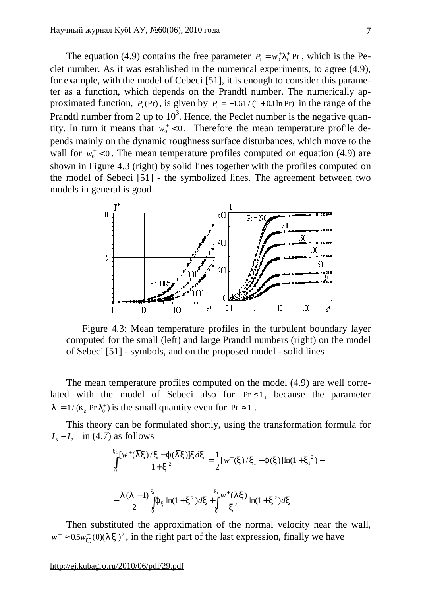The equation (4.9) contains the free parameter  $P_t = w_0^T I_T^+$  Pr, which is the Peclet number. As it was established in the numerical experiments, to agree (4.9), for example, with the model of Cebeci [51], it is enough to consider this parameter as a function, which depends on the Prandtl number. The numerically approximated function,  $P_t$ (Pr), is given by  $P_t = -1.61/(1+0.1 \ln Pr)$  in the range of the Prandtl number from 2 up to  $10^3$ . Hence, the Peclet number is the negative quantity. In turn it means that  $w_0^+ < 0$ . Therefore the mean temperature profile depends mainly on the dynamic roughness surface disturbances, which move to the wall for  $w_0^+$  < 0. The mean temperature profiles computed on equation (4.9) are shown in Figure 4.3 (right) by solid lines together with the profiles computed on the model of Sebeci [51] - the symbolized lines. The agreement between two models in general is good.



Figure 4.3: Mean temperature profiles in the turbulent boundary layer computed for the small (left) and large Prandtl numbers (right) on the model of Sebeci [51] - symbols, and on the proposed model - solid lines

The mean temperature profiles computed on the model (4.9) are well correlated with the model of Sebeci also for  $Pr \leq 1$ , because the parameter  $\overline{l} = 1/(k_h \Pr l_0^+)$  is the small quantity even for  $\Pr \approx 1$ .

This theory can be formulated shortly, using the transformation formula for  $I_3 - I_2$  in (4.7) as follows

$$
\int_{0}^{x_{1}} \frac{[w^{+}(\overline{I}x)/x - j(\overline{I}x)]xdx}{1 + x^{2}} = \frac{1}{2}[w^{+}(x)/x_{1} - j(x)]\ln(1 + x_{1}^{2}) - \frac{\overline{I}(\overline{I} - 1)}{2}\int_{0}^{x_{1}} j_{x} \ln(1 + x^{2})dx + \int_{0}^{x_{1}} \frac{w^{+}(\overline{I}x)}{x^{2}} \ln(1 + x^{2})dx
$$

Then substituted the approximation of the normal velocity near the wall,  $w^+ \approx 0.5 w_{xx}^+(0) (\overline{I}_{x_1})^2$ , in the right part of the last expression, finally we have

<http://ej.kubagro.ru/2010/06/pdf/29.pdf>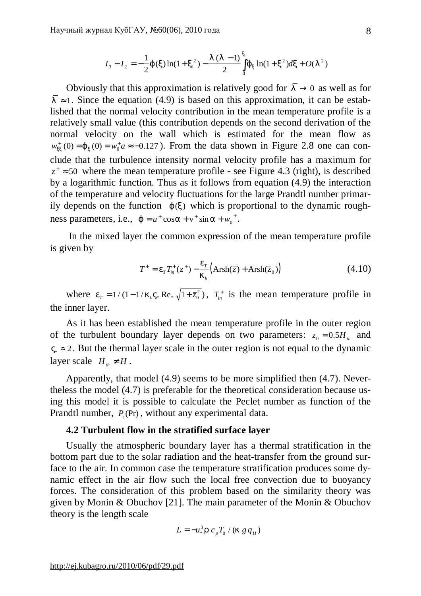$$
I_3 - I_2 = -\frac{1}{2}j(x)\ln(1 + x_1^2) - \frac{\overline{I}(\overline{I} - 1)}{2}\int_0^{x_1} j_x \ln(1 + x^2) dx + O(\overline{I}^2)
$$

Obviously that this approximation is relatively good for  $\overline{I} \rightarrow 0$  as well as for  $\overline{l}$  ≈ 1. Since the equation (4.9) is based on this approximation, it can be established that the normal velocity contribution in the mean temperature profile is a relatively small value (this contribution depends on the second derivation of the normal velocity on the wall which is estimated for the mean flow as  $w_{xx}^{+}(0) = j_x(0) = w_0^+ a \approx -0.127$ . From the data shown in Figure 2.8 one can conclude that the turbulence intensity normal velocity profile has a maximum for  $z^* \approx 50$  where the mean temperature profile - see Figure 4.3 (right), is described by a logarithmic function. Thus as it follows from equation (4.9) the interaction of the temperature and velocity fluctuations for the large Prandtl number primarily depends on the function  $j(x)$  which is proportional to the dynamic roughness parameters, i.e.,  $j = u^+ \cos a + v^+ \sin a + w_0^+$ .

In the mixed layer the common expression of the mean temperature profile is given by

$$
T^{+} = e_{T} T_{in}^{+}(z^{+}) - \frac{e_{T}}{k_{h}} \left( \text{Arsh}(\bar{z}) + \text{Arsh}(\bar{z}_{0}) \right)
$$
(4.10)

where  $e_T = 1/(1 - 1/k_h V_* \text{Re}_* \sqrt{1 + \bar{z}_0^2})$ ,  $T_{in}^+$  is the mean temperature profile in the inner layer.

As it has been established the mean temperature profile in the outer region of the turbulent boundary layer depends on two parameters:  $z_0 = 0.5 H_{th}$  and  $V_* \approx 2$ . But the thermal layer scale in the outer region is not equal to the dynamic layer scale  $H_{th} \neq H$ .

Apparently, that model (4.9) seems to be more simplified then (4.7). Nevertheless the model (4.7) is preferable for the theoretical consideration because using this model it is possible to calculate the Peclet number as function of the Prandtl number,  $P_t$ (Pr), without any experimental data.

### **4.2 Turbulent flow in the stratified surface layer**

Usually the atmospheric boundary layer has a thermal stratification in the bottom part due to the solar radiation and the heat-transfer from the ground surface to the air. In common case the temperature stratification produces some dynamic effect in the air flow such the local free convection due to buoyancy forces. The consideration of this problem based on the similarity theory was given by Monin & Obuchov [21]. The main parameter of the Monin & Obuchov theory is the length scale

$$
L = -u_*^3 r c_p T_0 / (k g q_H)
$$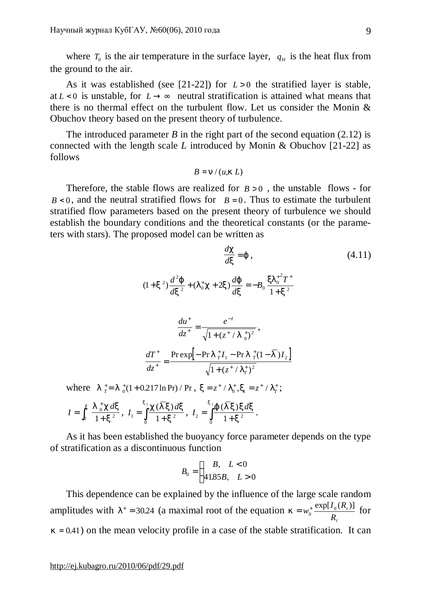where  $T_0$  is the air temperature in the surface layer,  $q_H$  is the heat flux from the ground to the air.

As it was established (see [21-22]) for  $L > 0$  the stratified layer is stable, at  $L < 0$  is unstable, for  $L \rightarrow \infty$  neutral stratification is attained what means that there is no thermal effect on the turbulent flow. Let us consider the Monin & Obuchov theory based on the present theory of turbulence.

The introduced parameter  $B$  in the right part of the second equation (2.12) is connected with the length scale *L* introduced by Monin & Obuchov [21-22] as follows

$$
B=n/(u_*k L)
$$

Therefore, the stable flows are realized for  $B > 0$ , the unstable flows - for  $B < 0$ , and the neutral stratified flows for  $B = 0$ . Thus to estimate the turbulent stratified flow parameters based on the present theory of turbulence we should establish the boundary conditions and the theoretical constants (or the parameters with stars). The proposed model can be written as

$$
\frac{dc}{dx} = j \tag{4.11}
$$
\n
$$
(1+x^2)\frac{d^2j}{dx^2} + (I_0^+c + 2x)\frac{dj}{dx} = -B_0 \frac{xI_0^{2}T^+}{1+x^2}
$$
\n
$$
\frac{du^+}{dz^+} = \frac{e^{-t}}{\sqrt{1 + (z^+ / I_0^+)^2}},
$$
\n
$$
\frac{dT^+}{dz^+} = \frac{\text{Prexp}[-\text{Pr} I_0^+I_1 - \text{Pr} I_0^+ (1-\bar{I})I_2]}{\sqrt{1 + (z^+ / I_0^+)^2}}
$$
\n
$$
(1+0.217 \ln \text{Pr})/\text{Pr}, x = z^+ / I_0^+, x_1 = z^+ / I_T^+;
$$
\n(4.11)

$$
I = \int_0^x \frac{I_0^+ c \, dx}{1 + x^2}, \ I_1 = \int_0^x \frac{c(\overline{I} x) \, dx}{1 + x^2}, \ I_2 = \int_0^x \frac{f(\overline{I} x) \, dx}{1 + x^2}.
$$

As it has been established the buoyancy force parameter depends on the type of stratification as a discontinuous function

$$
B_0 = \begin{cases} B, & L < 0 \\ 41.85B, & L > 0 \end{cases}
$$

This dependence can be explained by the influence of the large scale random amplitudes with  $I^+$  = 30.24 (a maximal root of the equation *t t R*  $w_0^+$   $\frac{\exp[I_0(R_t)]}{R}$  $k = w_0^+ \frac{\exp[i_0 (n_t)]}{n}$  for  $k = 0.41$ ) on the mean velocity profile in a case of the stable stratification. It can

where  $I_{T}^{+} = I_{0}^{+}$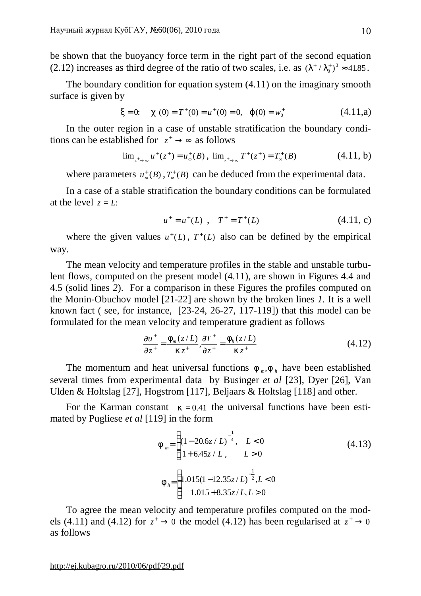be shown that the buoyancy force term in the right part of the second equation (2.12) increases as third degree of the ratio of two scales, i.e. as  $(I^*/I_0^*)^3 \approx 41.85$ .

The boundary condition for equation system (4.11) on the imaginary smooth surface is given by

$$
x = 0
$$
:  $c(0) = T^+(0) = u^+(0) = 0$ ,  $j(0) = w_0^+$  (4.11,a)

In the outer region in a case of unstable stratification the boundary conditions can be established for  $z^* \rightarrow \infty$  as follows

$$
\lim_{z^+ \to \infty} u^+(z^+) = u^+_{\infty}(B), \ \lim_{z^+ \to \infty} T^+(z^+) = T^+_{\infty}(B) \tag{4.11, b}
$$

where parameters  $u^*_{\infty}(B)$ ,  $T^*_{\infty}(B)$  can be deduced from the experimental data.

In a case of a stable stratification the boundary conditions can be formulated at the level  $z = L$ :

$$
u^+ = u^+(L) \, , \, T^+ = T^+(L) \tag{4.11, c}
$$

where the given values  $u^+(L)$ ,  $T^+(L)$  also can be defined by the empirical way.

The mean velocity and temperature profiles in the stable and unstable turbulent flows, computed on the present model (4.11), are shown in Figures 4.4 and 4.5 (solid lines *2*). For a comparison in these Figures the profiles computed on the Monin-Obuchov model [21-22] are shown by the broken lines *1*. It is a well known fact ( see, for instance, [23-24, 26-27, 117-119]) that this model can be formulated for the mean velocity and temperature gradient as follows

$$
\frac{\partial u^+}{\partial z^+} = \frac{F_m(z/L)}{k z^+}, \frac{\partial T^+}{\partial z^+} = \frac{F_h(z/L)}{k z^+}
$$
(4.12)

The momentum and heat universal functions  $f_{m}$ ,  $f_{h}$  have been established several times from experimental data by Businger *et al* [23], Dyer [26], Van Ulden & Holtslag [27], Hogstrom [117], Beljaars & Holtslag [118] and other.

For the Karman constant  $k = 0.41$  the universal functions have been estimated by Pugliese *et al* [119] in the form

$$
f_{m} = \begin{cases} (1 - 20.6z/L)^{-\frac{1}{4}}, & L < 0\\ 1 + 6.45z/L, & L > 0 \end{cases}
$$
(4.13)  

$$
f_{h} = \begin{cases} 1.015(1 - 12.35z/L)^{-\frac{1}{2}}, L < 0\\ 1.015 + 8.35z/L, L > 0 \end{cases}
$$

To agree the mean velocity and temperature profiles computed on the models (4.11) and (4.12) for  $z^* \to 0$  the model (4.12) has been regularised at  $z^* \to 0$ as follows

<http://ej.kubagro.ru/2010/06/pdf/29.pdf>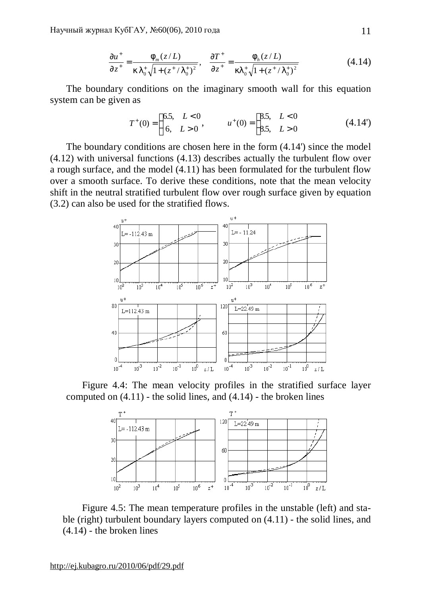$$
\frac{\partial u^+}{\partial z^+} = \frac{f_m(z/L)}{k I_0^+ \sqrt{1 + (z^+ / I_0^+)^2}}, \quad \frac{\partial T^+}{\partial z^+} = \frac{f_h(z/L)}{k I_0^+ \sqrt{1 + (z^+ / I_0^+)^2}}
$$
(4.14)

The boundary conditions on the imaginary smooth wall for this equation system can be given as

$$
T^{+}(0) = \begin{cases} 6.5, & L < 0 \\ 6, & L > 0 \end{cases}, \qquad u^{+}(0) = \begin{cases} 8.5, & L < 0 \\ 8.5, & L > 0 \end{cases}
$$
(4.14')

The boundary conditions are chosen here in the form (4.14') since the model (4.12) with universal functions (4.13) describes actually the turbulent flow over a rough surface, and the model (4.11) has been formulated for the turbulent flow over a smooth surface. To derive these conditions, note that the mean velocity shift in the neutral stratified turbulent flow over rough surface given by equation (3.2) can also be used for the stratified flows.



Figure 4.4: The mean velocity profiles in the stratified surface layer computed on  $(4.11)$  - the solid lines, and  $(4.14)$  - the broken lines



Figure 4.5: The mean temperature profiles in the unstable (left) and stable (right) turbulent boundary layers computed on (4.11) - the solid lines, and (4.14) - the broken lines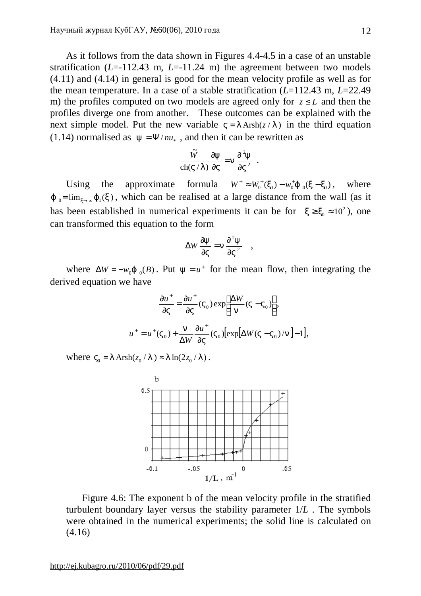As it follows from the data shown in Figures 4.4-4.5 in a case of an unstable stratification  $(L=112.43 \text{ m}, L=11.24 \text{ m})$  the agreement between two models (4.11) and (4.14) in general is good for the mean velocity profile as well as for the mean temperature. In a case of a stable stratification (*L*=112.43 m, *L*=22.49 m) the profiles computed on two models are agreed only for  $z \leq L$  and then the profiles diverge one from another. These outcomes can be explained with the next simple model. Put the new variable  $V = I \operatorname{Arsh}(z / I)$  in the third equation (1.14) normalised as  $y = \Psi / n u_*$ , and then it can be rewritten as

$$
\frac{\widetilde{W}}{\operatorname{ch}(V/I)} \frac{\partial y}{\partial V} = n \frac{\partial^2 y}{\partial V^2} .
$$

Using the approximate formula  $W^+ \approx W_0^+(X_0) - w_0^+ j_{0}(X - X_0)$ , where  $j_{0}$ =  $\lim_{x\to\infty} j_{1}(x)$ , which can be realised at a large distance from the wall (as it has been established in numerical experiments it can be for  $x \ge x_0 \approx 10^2$ ), one can transformed this equation to the form

$$
\Delta W \frac{\partial y}{\partial V} = n \frac{\partial^2 y}{\partial V^2} ,
$$

where  $\Delta W = -w_0 j_{0} (B)$ . Put  $y = u^+$  for the mean flow, then integrating the derived equation we have

$$
\frac{\partial u^+}{\partial V} = \frac{\partial u^+}{\partial V} (V_0) \exp\left[\frac{\Delta W}{n} (V - V_0)\right],
$$
  

$$
u^+ = u^+ (V_0) + \frac{n}{\Delta W} \frac{\partial u^+}{\partial V} (V_0) [\exp[\Delta W (V - V_0)/n] - 1],
$$

where  $V_0 = I \operatorname{Arsh}(z_0 / I) \approx I \ln(2z_0 / I)$ .



Figure 4.6: The exponent b of the mean velocity profile in the stratified turbulent boundary layer versus the stability parameter 1/*L* . The symbols were obtained in the numerical experiments; the solid line is calculated on (4.16)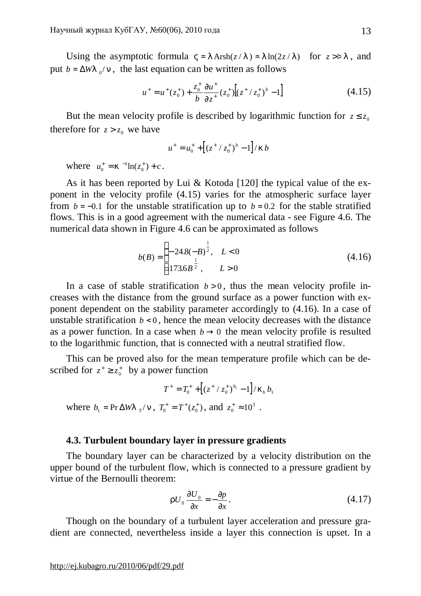Using the asymptotic formula  $V = I \operatorname{Arsh}(z/I) \approx I \ln(2z/I)$  for  $z >> I$ , and put  $b = \Delta W l_0 / n$ , the last equation can be written as follows

$$
u^{+} = u^{+}(z_{0}^{+}) + \frac{z_{0}^{+}}{b} \frac{\partial u^{+}}{\partial z^{+}} (z_{0}^{+}) \left[ (z^{+} / z_{0}^{+})^{b} - 1 \right]
$$
(4.15)

But the mean velocity profile is described by logarithmic function for  $z \le z_0$ therefore for  $z > z_0$  we have

$$
u^{+} = u_{0}^{+} + \left[ (z^{+} / z_{0}^{+})^{b} - 1 \right] / kb
$$

where  $u_0^+ = k^{-1} \ln(z_0^+) + c$ 0  $t_0^+$  =  $k^{-1}$ ln( $z_0^+$ ) + c.

As it has been reported by Lui & Kotoda [120] the typical value of the exponent in the velocity profile (4.15) varies for the atmospheric surface layer from  $b = -0.1$  for the unstable stratification up to  $b = 0.2$  for the stable stratified flows. This is in a good agreement with the numerical data - see Figure 4.6. The numerical data shown in Figure 4.6 can be approximated as follows

$$
b(B) = \begin{cases} -24.8(-B)^{\frac{1}{2}}, & L < 0\\ 173.6B^{\frac{1}{2}}, & L > 0 \end{cases}
$$
(4.16)

In a case of stable stratification  $b > 0$ , thus the mean velocity profile increases with the distance from the ground surface as a power function with exponent dependent on the stability parameter accordingly to (4.16). In a case of unstable stratification  $b < 0$ , hence the mean velocity decreases with the distance as a power function. In a case when  $b \rightarrow 0$  the mean velocity profile is resulted to the logarithmic function, that is connected with a neutral stratified flow.

This can be proved also for the mean temperature profile which can be described for  $z^+ \ge z_0^+$  by a power function

$$
T^+ = T_0^+ + \left[ (z^+ / z_0^+)^{b_1} - 1 \right] / k_h \, b_1
$$

where  $b_1 = Pr \Delta W I_{T}/n$ ,  $T_0^+ = T^+ (z_0^+)$ , and  $z_0^+ \approx 10^3$ .

## **4.3. Turbulent boundary layer in pressure gradients**

The boundary layer can be characterized by a velocity distribution on the upper bound of the turbulent flow, which is connected to a pressure gradient by virtue of the Bernoulli theorem:

$$
rU_0 \frac{\partial U_0}{\partial x} = -\frac{\partial p}{\partial x}.
$$
\n(4.17)

Though on the boundary of a turbulent layer acceleration and pressure gradient are connected, nevertheless inside a layer this connection is upset. In a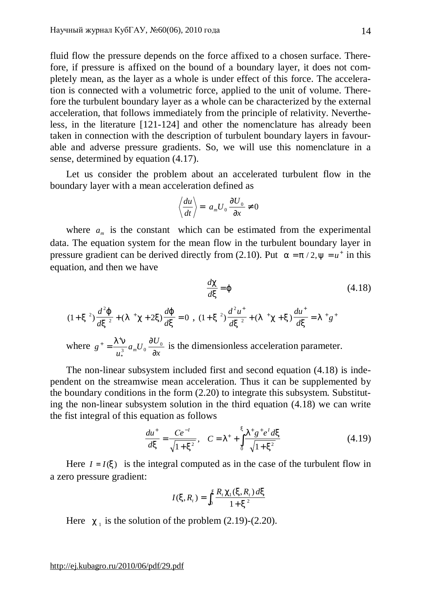fluid flow the pressure depends on the force affixed to a chosen surface. Therefore, if pressure is affixed on the bound of a boundary layer, it does not completely mean, as the layer as a whole is under effect of this force. The acceleration is connected with a volumetric force, applied to the unit of volume. Therefore the turbulent boundary layer as a whole can be characterized by the external acceleration, that follows immediately from the principle of relativity. Nevertheless, in the literature [121-124] and other the nomenclature has already been taken in connection with the description of turbulent boundary layers in favourable and adverse pressure gradients. So, we will use this nomenclature in a sense, determined by equation (4.17).

Let us consider the problem about an accelerated turbulent flow in the boundary layer with a mean acceleration defined as

$$
\left\langle \frac{du}{dt} \right\rangle = a_m U_0 \frac{\partial U_0}{\partial x} \neq 0
$$

where  $a_m$  is the constant which can be estimated from the experimental data. The equation system for the mean flow in the turbulent boundary layer in pressure gradient can be derived directly from (2.10). Put  $a = p/2$ ,  $y = u^+$  in this equation, and then we have

$$
\frac{dc}{dx} = j \tag{4.18}
$$
\n
$$
(1+x^2)\frac{d^2j}{dx^2} + (1+c+2x)\frac{dj}{dx} = 0 \text{ , } (1+x^2)\frac{d^2u^+}{dx^2} + (1+c+x)\frac{du^+}{dx} = 1 + g^+
$$
\n
$$
\text{where } g^+ = \frac{l^+n}{u_*^3}a_m U_0 \frac{\partial U_0}{\partial x} \text{ is the dimensionless acceleration parameter.}
$$

The non-linear subsystem included first and second equation (4.18) is independent on the streamwise mean acceleration. Thus it can be supplemented by the boundary conditions in the form (2.20) to integrate this subsystem. Substituting the non-linear subsystem solution in the third equation (4.18) we can write the fist integral of this equation as follows

$$
\frac{du^+}{dx} = \frac{Ce^{-1}}{\sqrt{1+x^2}}, \quad C = I^+ + \int_0^x \frac{I^+g^+e^t dx}{\sqrt{1+x^2}}\tag{4.19}
$$

Here  $I = I(x)$  is the integral computed as in the case of the turbulent flow in a zero pressure gradient:

$$
I(x, R_t) = \int_0^x \frac{R_t c_1(x, R_t) dx}{1 + x^2}
$$

Here  $c_1$  is the solution of the problem  $(2.19)-(2.20)$ .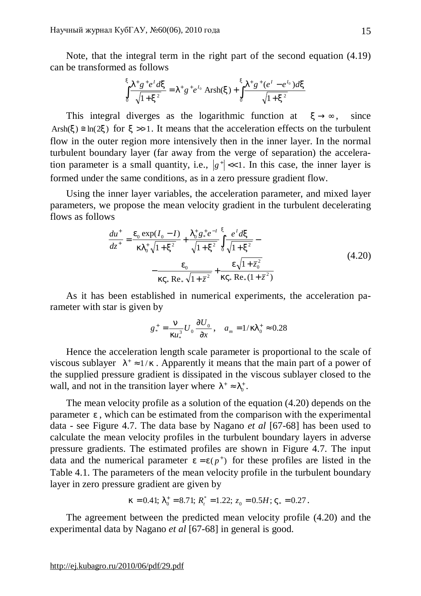Note, that the integral term in the right part of the second equation (4.19) can be transformed as follows

$$
\int_{0}^{x} \frac{I^{+}g^{+}e^{I} dx}{\sqrt{1+x^{2}}} = I^{+}g^{+}e^{I_{0}} \operatorname{Arsh}(x) + \int_{0}^{x} \frac{I^{+}g^{+}(e^{I}-e^{I_{0}}) dx}{\sqrt{1+x^{2}}}
$$

This integral diverges as the logarithmic function at  $x \rightarrow \infty$ , since Arsh(x)  $\leq \ln(2x)$  for  $x \geq 1$ . It means that the acceleration effects on the turbulent flow in the outer region more intensively then in the inner layer. In the normal turbulent boundary layer (far away from the verge of separation) the acceleration parameter is a small quantity, i.e.,  $|g^*| \ll 1$ . In this case, the inner layer is formed under the same conditions, as in a zero pressure gradient flow.

Using the inner layer variables, the acceleration parameter, and mixed layer parameters, we propose the mean velocity gradient in the turbulent decelerating flows as follows

$$
\frac{du^{+}}{dz^{+}} = \frac{e_0 \exp(I_0 - I)}{kl_0^{+}\sqrt{1 + x^2}} + \frac{l_0^{+}g_{+}^{+}e^{-I}}{\sqrt{1 + x^2}} \int_{0}^{x} \frac{e^{I} dx}{\sqrt{1 + x^2}} - \frac{e_0}{kV_{+} \text{Re}_{+} \sqrt{1 + z^2}} + \frac{e\sqrt{1 + z_0^{2}}}{kV_{+} \text{Re}_{+} (1 + z^2)}
$$
(4.20)

As it has been established in numerical experiments, the acceleration parameter with star is given by

$$
g_*^+ = \frac{n}{ku_*^3} U_0 \frac{\partial U_0}{\partial x}, \quad a_m = 1/kI_0^+ \approx 0.28
$$

Hence the acceleration length scale parameter is proportional to the scale of viscous sublayer  $I^* \approx 1/k$ . Apparently it means that the main part of a power of the supplied pressure gradient is dissipated in the viscous sublayer closed to the wall, and not in the transition layer where  $I^* \approx I_0^*$ .

The mean velocity profile as a solution of the equation (4.20) depends on the parameter *e* , which can be estimated from the comparison with the experimental data - see Figure 4.7. The data base by Nagano *et al* [67-68] has been used to calculate the mean velocity profiles in the turbulent boundary layers in adverse pressure gradients. The estimated profiles are shown in Figure 4.7. The input data and the numerical parameter  $e = e(p^+)$  for these profiles are listed in the Table 4.1. The parameters of the mean velocity profile in the turbulent boundary layer in zero pressure gradient are given by

$$
k = 0.41; I_0^+ = 8.71; R_t^* = 1.22; z_0 = 0.5H; V_* = 0.27.
$$

The agreement between the predicted mean velocity profile (4.20) and the experimental data by Nagano *et al* [67-68] in general is good.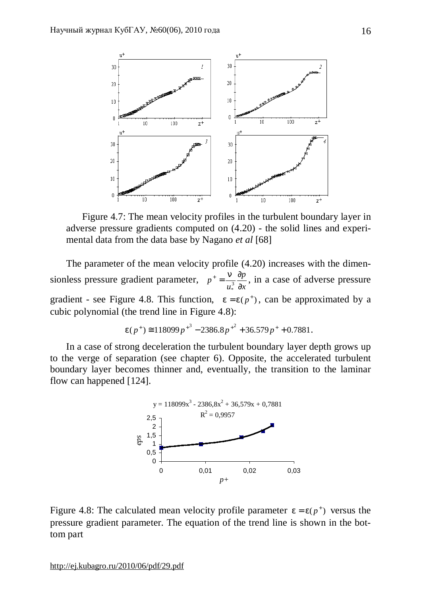

Figure 4.7: The mean velocity profiles in the turbulent boundary layer in adverse pressure gradients computed on (4.20) - the solid lines and experimental data from the data base by Nagano *et al* [68]

The parameter of the mean velocity profile (4.20) increases with the dimensionless pressure gradient parameter, *x p u p* ∂  $=\frac{n}{2}\frac{\partial}{\partial x}$ 3 \*  $\frac{n}{\lambda} \frac{\partial p}{\partial \lambda}$ , in a case of adverse pressure gradient - see Figure 4.8. This function,  $e = e(p^+)$ , can be approximated by a cubic polynomial (the trend line in Figure 4.8):

$$
e(p^+) \approx 118099p^{+3} - 2386.8p^{+2} + 36.579p^+ + 0.7881.
$$

In a case of strong deceleration the turbulent boundary layer depth grows up to the verge of separation (see chapter 6). Opposite, the accelerated turbulent boundary layer becomes thinner and, eventually, the transition to the laminar flow can happened [124].



Figure 4.8: The calculated mean velocity profile parameter  $e = e(p^+)$  versus the pressure gradient parameter. The equation of the trend line is shown in the bottom part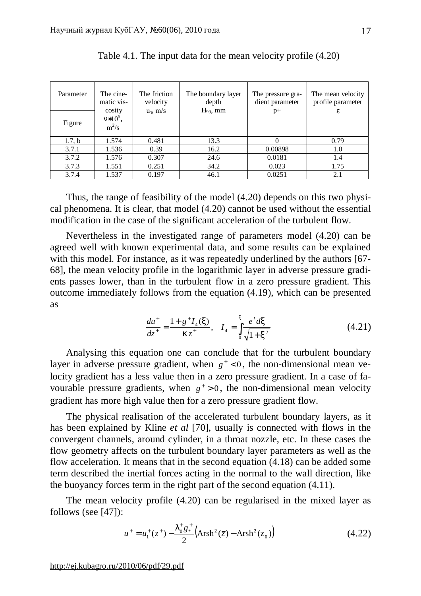| Parameter | The cine-<br>matic vis-         | The friction<br>velocity | The boundary layer<br>depth | The pressure gra-<br>dient parameter | The mean velocity<br>profile parameter |
|-----------|---------------------------------|--------------------------|-----------------------------|--------------------------------------|----------------------------------------|
| Figure    | cosity<br>$v*10^5$ ,<br>$m^2/s$ | $u_{\tau}$ , m/s         | $H_{99}$ , mm               | $p+$                                 | ε                                      |
| 1.7, b    | 1.574                           | 0.481                    | 13.3                        |                                      | 0.79                                   |
| 3.7.1     | 1.536                           | 0.39                     | 16.2                        | 0.00898                              | 1.0                                    |
| 3.7.2     | 1.576                           | 0.307                    | 24.6                        | 0.0181                               | 1.4                                    |
| 3.7.3     | 1.551                           | 0.251                    | 34.2                        | 0.023                                | 1.75                                   |
| 3.7.4     | 1.537                           | 0.197                    | 46.1                        | 0.0251                               | 2.1                                    |

Table 4.1. The input data for the mean velocity profile (4.20)

Thus, the range of feasibility of the model (4.20) depends on this two physical phenomena. It is clear, that model (4.20) cannot be used without the essential modification in the case of the significant acceleration of the turbulent flow.

Nevertheless in the investigated range of parameters model (4.20) can be agreed well with known experimental data, and some results can be explained with this model. For instance, as it was repeatedly underlined by the authors [67-68], the mean velocity profile in the logarithmic layer in adverse pressure gradients passes lower, than in the turbulent flow in a zero pressure gradient. This outcome immediately follows from the equation (4.19), which can be presented as

$$
\frac{du^+}{dz^+} = \frac{1 + g^+ I_4(x)}{kz^+}, \quad I_4 = \int_0^x \frac{e^t dx}{\sqrt{1 + x^2}}\tag{4.21}
$$

Analysing this equation one can conclude that for the turbulent boundary layer in adverse pressure gradient, when  $g^+ < 0$ , the non-dimensional mean velocity gradient has a less value then in a zero pressure gradient. In a case of favourable pressure gradients, when  $g^+ > 0$ , the non-dimensional mean velocity gradient has more high value then for a zero pressure gradient flow.

The physical realisation of the accelerated turbulent boundary layers, as it has been explained by Kline *et al* [70], usually is connected with flows in the convergent channels, around cylinder, in a throat nozzle, etc. In these cases the flow geometry affects on the turbulent boundary layer parameters as well as the flow acceleration. It means that in the second equation (4.18) can be added some term described the inertial forces acting in the normal to the wall direction, like the buoyancy forces term in the right part of the second equation (4.11).

The mean velocity profile (4.20) can be regularised in the mixed layer as follows (see [47]):

$$
u^{+} = u_{1}^{+}(z^{+}) - \frac{I_{0}^{+}g_{*}^{+}}{2} \left( \text{Arsh}^{2}(\bar{z}) - \text{Arsh}^{2}(\bar{z}_{0}) \right)
$$
 (4.22)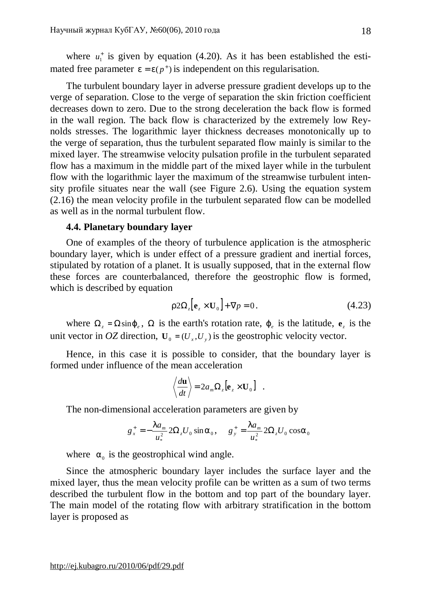where  $u_1^+$  is given by equation (4.20). As it has been established the estimated free parameter  $e = e(p^+)$  is independent on this regularisation.

The turbulent boundary layer in adverse pressure gradient develops up to the verge of separation. Close to the verge of separation the skin friction coefficient decreases down to zero. Due to the strong deceleration the back flow is formed in the wall region. The back flow is characterized by the extremely low Reynolds stresses. The logarithmic layer thickness decreases monotonically up to the verge of separation, thus the turbulent separated flow mainly is similar to the mixed layer. The streamwise velocity pulsation profile in the turbulent separated flow has a maximum in the middle part of the mixed layer while in the turbulent flow with the logarithmic layer the maximum of the streamwise turbulent intensity profile situates near the wall (see Figure 2.6). Using the equation system (2.16) the mean velocity profile in the turbulent separated flow can be modelled as well as in the normal turbulent flow.

#### **4.4. Planetary boundary layer**

One of examples of the theory of turbulence application is the atmospheric boundary layer, which is under effect of a pressure gradient and inertial forces, stipulated by rotation of a planet. It is usually supposed, that in the external flow these forces are counterbalanced, therefore the geostrophic flow is formed, which is described by equation

$$
r2\Omega_z[\mathbf{e}_z \times \mathbf{U}_0] + \nabla p = 0. \tag{4.23}
$$

.

where  $\Omega_z = \Omega \sin j_e$ ,  $\Omega$  is the earth's rotation rate,  $j_e$  is the latitude,  $e_z$  is the unit vector in *OZ* direction,  $U_0 = (U_x, U_y)$  is the geostrophic velocity vector.

Hence, in this case it is possible to consider, that the boundary layer is formed under influence of the mean acceleration

$$
\left\langle \frac{d\mathbf{u}}{dt} \right\rangle = 2a_m \Omega_z [\mathbf{e}_z \times \mathbf{U}_0]
$$

The non-dimensional acceleration parameters are given by

$$
g_{x}^{+} = -\frac{Ia_{m}}{u_{*}^{2}} 2\Omega_{z} U_{0} \sin \mathbf{a}_{0}, \quad g_{y}^{+} = \frac{Ia_{m}}{u_{*}^{2}} 2\Omega_{z} U_{0} \cos \mathbf{a}_{0}
$$

where  $a_0$  is the geostrophical wind angle.

Since the atmospheric boundary layer includes the surface layer and the mixed layer, thus the mean velocity profile can be written as a sum of two terms described the turbulent flow in the bottom and top part of the boundary layer. The main model of the rotating flow with arbitrary stratification in the bottom layer is proposed as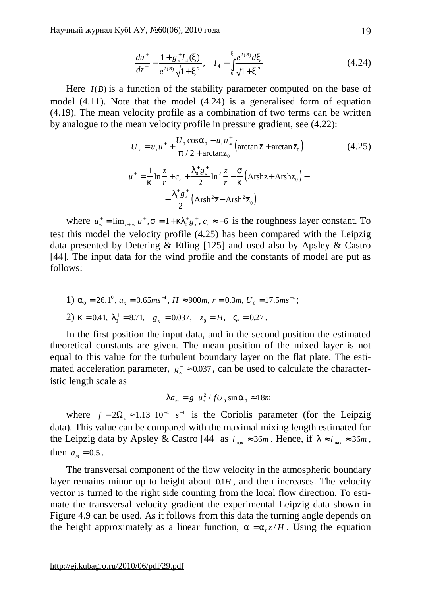$$
\frac{du^+}{dz^+} = \frac{1 + g_x^+ I_4(x)}{e^{I(B)} \sqrt{1 + x^2}}, \quad I_4 = \int_0^x \frac{e^{I(B)} dx}{\sqrt{1 + x^2}}
$$
(4.24)

Here *I(B)* is a function of the stability parameter computed on the base of model (4.11). Note that the model (4.24) is a generalised form of equation (4.19). The mean velocity profile as a combination of two terms can be written by analogue to the mean velocity profile in pressure gradient, see (4.22):

$$
U_x = u_t u^+ + \frac{U_0 \cos a_0 - u_t u^+}{p/2 + \arctan \overline{z}_0} \left( \arctan \overline{z} + \arctan \overline{z}_0 \right)
$$
(4.25)  

$$
u^+ = \frac{1}{k} \ln \frac{z}{r} + c_r + \frac{I_0^+ g_x^+}{2} \ln^2 \frac{z}{r} - \frac{s}{k} \left( \text{Arsh } \overline{z} + \text{Arsh } \overline{z}_0 \right) - \frac{I_0^+ g_x^+}{2} \left( \text{Arsh }^2 \overline{z} - \text{Arsh}^2 \overline{z}_0 \right)
$$

where  $u_{\infty}^{+} = \lim_{z \to \infty} u$ →∞  $=$   $\lim_{z \to \infty} u^+$ ,  $s = 1 + kI_0^+ g_x^+$ ,  $c_r \approx -6$  is the roughness layer constant. To test this model the velocity profile (4.25) has been compared with the Leipzig data presented by Detering & Etling [125] and used also by Apsley & Castro [44]. The input data for the wind profile and the constants of model are put as follows:

1) 
$$
a_0 = 26.1^\circ
$$
,  $u_t = 0.65ms^{-1}$ ,  $H \approx 900m$ ,  $r = 0.3m$ ,  $U_0 = 17.5ms^{-1}$ ;  
2)  $k = 0.41$ ,  $I_0^+ = 8.71$ ,  $g_x^+ = 0.037$ ,  $z_0 = H$ ,  $V_* = 0.27$ .

In the first position the input data, and in the second position the estimated theoretical constants are given. The mean position of the mixed layer is not equal to this value for the turbulent boundary layer on the flat plate. The estimated acceleration parameter,  $g_x^* \approx 0.037$ , can be used to calculate the characteristic length scale as

$$
Ia_m = g^+u_t^2 / fU_0 \sin a_0 \approx 18m
$$

where  $f = 2\Omega_z \approx 1.13 \, 10^{-4} \, s^{-1}$  is the Coriolis parameter (for the Leipzig data). This value can be compared with the maximal mixing length estimated for the Leipzig data by Apsley & Castro [44] as  $l_{\text{max}} \approx 36m$ . Hence, if  $l \approx l_{\text{max}} \approx 36m$ , then  $a_m = 0.5$ .

The transversal component of the flow velocity in the atmospheric boundary layer remains minor up to height about  $0.1H$ , and then increases. The velocity vector is turned to the right side counting from the local flow direction. To estimate the transversal velocity gradient the experimental Leipzig data shown in Figure 4.9 can be used. As it follows from this data the turning angle depends on the height approximately as a linear function,  $\bar{a} = a_0 z / H$ . Using the equation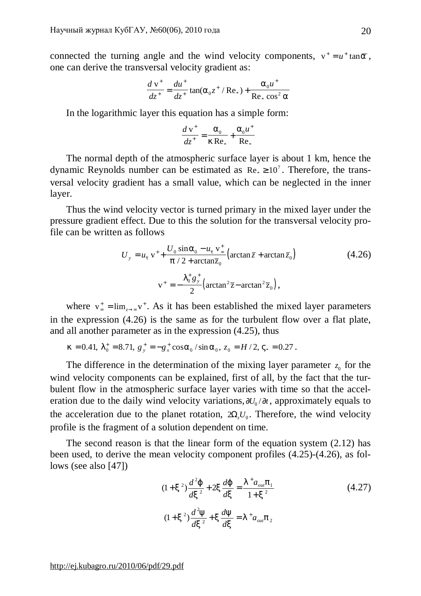connected the turning angle and the wind velocity components,  $v^+ = u^+ \tan \overline{a}$ , one can derive the transversal velocity gradient as:

$$
\frac{d v^{+}}{dz^{+}} = \frac{du^{+}}{dz^{+}} \tan(a_{0}z^{+} / \text{Re}_{*}) + \frac{a_{0}u^{+}}{\text{Re}_{*} \cos^{2} a}
$$

In the logarithmic layer this equation has a simple form:

$$
\frac{d v^+}{dz^+} = \frac{a_0}{k \, \text{Re}_*} + \frac{a_0 u^+}{\text{Re}_*}
$$

The normal depth of the atmospheric surface layer is about 1 km, hence the dynamic Reynolds number can be estimated as  $\text{Re}_* \ge 10^7$ . Therefore, the transversal velocity gradient has a small value, which can be neglected in the inner layer.

Thus the wind velocity vector is turned primary in the mixed layer under the pressure gradient effect. Due to this the solution for the transversal velocity profile can be written as follows

$$
U_y = u_t \,\mathrm{v}^+ + \frac{U_0 \sin a_0 - u_t \,\mathrm{v}^+}{p/2 + \arctan \overline{z}_0} \left( \arctan \overline{z} + \arctan \overline{z}_0 \right) \tag{4.26}
$$
\n
$$
\mathrm{v}^+ = -\frac{I_0^+ g_y^+}{2} \left( \arctan^2 \overline{z} - \arctan^2 \overline{z}_0 \right),
$$

where  $v_{\infty}^{+} = \lim_{z \to \infty} v$ →∞  $=$   $\lim_{z \to \infty}$  v<sup>+</sup>. As it has been established the mixed layer parameters in the expression (4.26) is the same as for the turbulent flow over a flat plate, and all another parameter as in the expression (4.25), thus

 $k = 0.41, I_0^+ = 8.71, g_y^+ = -g_x^+ \cos \theta_0 / \sin \theta_0, z_0 = H/2, V_* = 0.27$ .

The difference in the determination of the mixing layer parameter  $z_0$  for the wind velocity components can be explained, first of all, by the fact that the turbulent flow in the atmospheric surface layer varies with time so that the acceleration due to the daily wind velocity variations,  $\partial U_0 / \partial t$ , approximately equals to the acceleration due to the planet rotation,  $2\Omega_z U_0$ . Therefore, the wind velocity profile is the fragment of a solution dependent on time.

The second reason is that the linear form of the equation system (2.12) has been used, to derive the mean velocity component profiles (4.25)-(4.26), as follows (see also [47])

$$
(1+x^2)\frac{d^2j}{dx^2} + 2x\frac{dj}{dx} = \frac{1+a_{out}p_1}{1+x^2}
$$
\n
$$
(1+x^2)\frac{d^2y}{dx^2} + x\frac{dy}{dx} = 1+a_{out}p_2
$$
\n(4.27)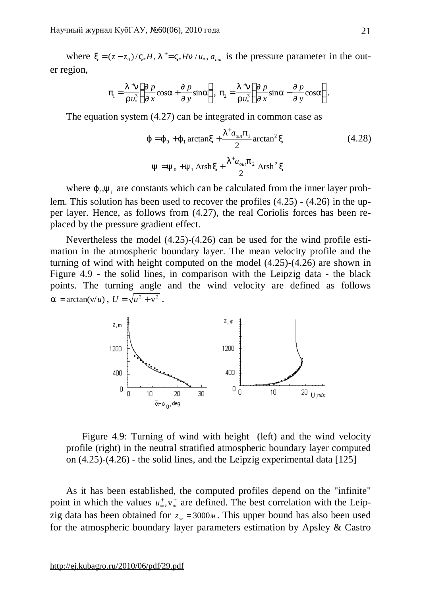where  $x = (z - z_0) / V_* H$ ,  $I^+ = V_* H n / u_*$ ,  $a_{out}$  is the pressure parameter in the outer region,

$$
p_1 = \frac{I^{\text{+}}n}{r u_*^3} \left( \frac{\oint p}{\oint x} \cos a + \frac{\oint p}{\oint y} \sin a \right), \ p_2 = \frac{I^{\text{+}}n}{r u_*^3} \left( \frac{\oint p}{\oint x} \sin a - \frac{\oint p}{\oint y} \cos a \right).
$$

The equation system (4.27) can be integrated in common case as

$$
j = j_0 + j_1 \arctan x + \frac{I^+ a_{out} p_1}{2} \arctan^2 x
$$
 (4.28)  

$$
y = y_0 + y_1 \operatorname{Arsh} x + \frac{I^+ a_{out} p_2}{2} \operatorname{Arsh}^2 x
$$

where  $j_i$ ,  $y_i$  are constants which can be calculated from the inner layer problem. This solution has been used to recover the profiles (4.25) - (4.26) in the upper layer. Hence, as follows from (4.27), the real Coriolis forces has been replaced by the pressure gradient effect.

Nevertheless the model (4.25)-(4.26) can be used for the wind profile estimation in the atmospheric boundary layer. The mean velocity profile and the turning of wind with height computed on the model (4.25)-(4.26) are shown in Figure 4.9 - the solid lines, in comparison with the Leipzig data - the black points. The turning angle and the wind velocity are defined as follows  $\overline{a}$  = arctan(v/*u*),  $U = \sqrt{u^2 + v^2}$ .



Figure 4.9: Turning of wind with height (left) and the wind velocity profile (right) in the neutral stratified atmospheric boundary layer computed on (4.25)-(4.26) - the solid lines, and the Leipzig experimental data [125]

As it has been established, the computed profiles depend on the "infinite" point in which the values  $u^*$ ∞  $, v_{\infty}^{+}$  are defined. The best correlation with the Leipzig data has been obtained for  $z<sub>∞</sub> = 3000<sup>M</sup>$ . This upper bound has also been used for the atmospheric boundary layer parameters estimation by Apsley & Castro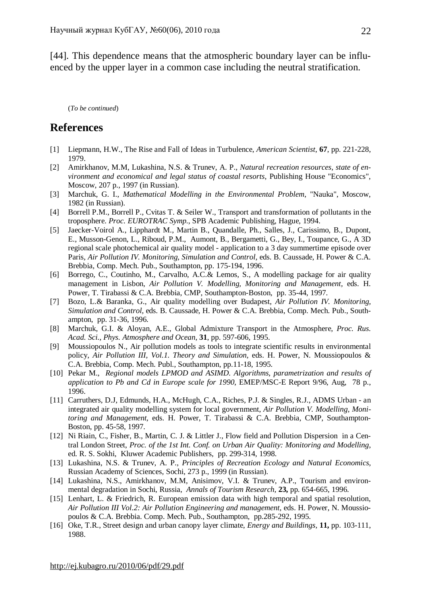[44]. This dependence means that the atmospheric boundary layer can be influenced by the upper layer in a common case including the neutral stratification.

(*To be continued*)

# **References**

- [1] Liepmann, H.W., The Rise and Fall of Ideas in Turbulence, *American Scientist*, **67**, pp. 221-228, 1979.
- [2] Amirkhanov, M.M, Lukashina, N.S. & Trunev, A. P., *Natural recreation resources, state of environment and economical and legal status of coastal resorts*, Publishing House "Economics", Moscow, 207 p., 1997 (in Russian).
- [3] Marchuk, G. I., *Mathematical Modelling in the Environmental Problem*, "Nauka", Moscow, 1982 (in Russian).
- [4] Borrell P.M., Borrell P., Cvitas T. & Seiler W., Transport and transformation of pollutants in the troposphere. *Proc. EUROTRAC Symp.*, SPB Academic Publishing, Hague, 1994.
- [5] Jaecker-Voirol A., Lipphardt M., Martin B., Quandalle, Ph., Salles, J., Carissimo, B., Dupont, E., Musson-Genon, L., Riboud, P.M., Aumont, B., Bergametti, G., Bey, I., Toupance, G., A 3D regional scale photochemical air quality model - application to a 3 day summertime episode over Paris*, Air Pollution IV. Monitoring, Simulation and Control,* eds. B. Caussade, H. Power & C.A. Brebbia, Comp. Mech. Pub., Southampton, pp. 175-194, 1996.
- [6] Borrego, C., Coutinho, M., Carvalho, A.C.& Lemos, S., A modelling package for air quality management in Lisbon, *Air Pollution V. Modelling, Monitoring and Management,* eds. H. Power, T. Tirabassi & C.A. Brebbia, CMP, Southampton-Boston, pp. 35-44, 1997.
- [7] Bozo, L.& Baranka, G., Air quality modelling over Budapest, *Air Pollution IV. Monitoring, Simulation and Control,* eds. B. Caussade, H. Power & C.A. Brebbia, Comp. Mech. Pub., Southampton, pp. 31-36, 1996.
- [8] Marchuk, G.I. & Aloyan, A.E., Global Admixture Transport in the Atmosphere, *Proc. Rus. Acad. Sci., Phys. Atmosphere and Ocean*, **31**, pp. 597-606, 1995.
- [9] Moussiopoulos N., Air pollution models as tools to integrate scientific results in environmental policy, *Air Pollution III, Vol.1. Theory and Simulation,* eds. H. Power, N. Moussiopoulos & C.A. Brebbia, Comp. Mech. Publ., Southampton, pp.11-18, 1995.
- [10] Pekar M., *Regional models LPMOD and ASIMD. Algorithms, parametrization and results of application to Pb and Cd in Europe scale for 1990*, EMEP/MSC-E Report 9/96, Aug, 78 p., 1996.
- [11] Carruthers, D.J, Edmunds, H.A., McHugh, C.A., Riches, P.J. & Singles, R.J., ADMS Urban an integrated air quality modelling system for local government, *Air Pollution V. Modelling, Monitoring and Management,* eds. H. Power, T. Tirabassi & C.A. Brebbia, CMP, Southampton-Boston, pp. 45-58, 1997.
- [12] Ni Riain, C., Fisher, B., Martin, C. J. & Littler J., Flow field and Pollution Dispersion in a Central London Street, *Proc. of the 1st Int. Conf. on Urban Air Quality: Monitoring and Modelling*, ed. R. S. Sokhi, Kluwer Academic Publishers, pp. 299-314, 1998.
- [13] Lukashina, N.S. & Trunev, A. P., *Principles of Recreation Ecology and Natural Economics,* Russian Academy of Sciences, Sochi, 273 p., 1999 (in Russian).
- [14] Lukashina, N.S., Amirkhanov, M.M, Anisimov, V.I. & Trunev, A.P., Tourism and environmental degradation in Sochi, Russia, *Annals of Tourism Research*, **23,** pp. 654-665, 1996.
- [15] Lenhart, L. & Friedrich, R. European emission data with high temporal and spatial resolution, *Air Pollution III Vol.2: Air Pollution Engineering and management*, eds. H. Power, N. Moussiopoulos & C.A. Brebbia. Comp. Mech. Pub., Southampton, pp.285-292, 1995.
- [16] Oke, T.R., Street design and urban canopy layer climate, *Energy and Buildings,* **11,** pp. 103-111, 1988.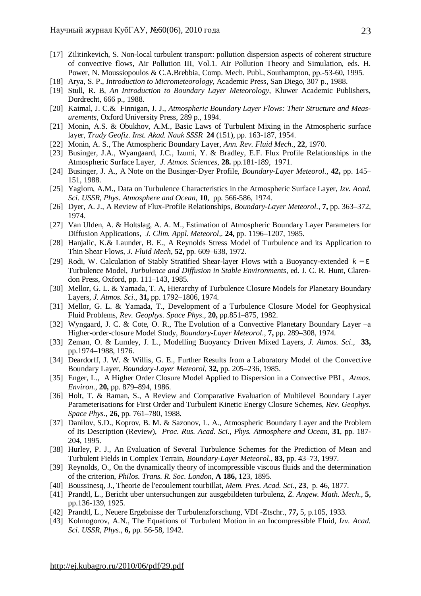- [17] Zilitinkevich, S. Non-local turbulent transport: pollution dispersion aspects of coherent structure of convective flows, Air Pollution III, Vol.1. Air Pollution Theory and Simulation, eds. H. Power, N. Moussiopoulos & C.A.Brebbia, Comp. Mech. Publ., Southampton, рр.-53-60, 1995.
- [18] Arya, S. P., *Introduction to Micrometeorology*, Academic Press, San Diego, 307 p., 1988.
- [19] Stull, R. B, *An Introduction to Boundary Layer Meteorology*, Kluwer Academic Publishers, Dordrecht, 666 p., 1988.
- [20] Kaimal, J. C.& Finnigan, J. J., *Atmospheric Boundary Layer Flows: Their Structure and Measurements*, Oxford University Press, 289 p., 1994.
- [21] Monin, A.S. & Obukhov, A.M., Basic Laws of Turbulent Mixing in the Atmospheric surface layer, *Trudy Geofiz. Inst. Akad. Nauk SSSR* **24** (151), pp. 163-187, 1954.
- [22] Monin, A. S., The Atmospheric Boundary Layer, *Ann. Rev. Fluid Mech*., **22**, 1970.
- [23] Businger, J.A., Wyangaard, J.C., Izumi, Y. & Bradley, E.F. Flux Profile Relationships in the Atmospheric Surface Layer, *J. Atmos. Sciences*, **28.** pp.181-189, 1971.
- [24] Businger, J. A., A Note on the Businger-Dyer Profile, *Boundary-Layer Meteorol.*, **42,** pp. 145– 151, 1988.
- [25] Yaglom, A.M., Data on Turbulence Characteristics in the Atmospheric Surface Layer, *Izv. Acad. Sci. USSR, Phys. Atmosphere and Ocean,* **10**, pp. 566-586, 1974.
- [26] Dyer, A. J., A Review of Flux-Profile Relationships, *Boundary-Layer Meteorol.*, **7,** pp. 363–372, 1974.
- [27] Van Ulden, A. & Holtslag, A. A. M., Estimation of Atmospheric Boundary Layer Parameters for Diffusion Applications, *J. Clim. Appl. Meteorol*,. **24,** pp. 1196–1207, 1985.
- [28] Hanjalic, K.& Launder, B. E., A Reynolds Stress Model of Turbulence and its Application to Thin Shear Flows, *J. Fluid Mech*, **52,** pp. 609–638, 1972.
- [29] Rodi, W. Calculation of Stably Stratified Shear-layer Flows with a Buoyancy-extended *k* − *e* Turbulence Model, *Turbulence and Diffusion in Stable Environments*, ed. J. C. R. Hunt, Clarendon Press, Oxford, pp. 111–143, 1985.
- [30] Mellor, G. L. & Yamada, T. A, Hierarchy of Turbulence Closure Models for Planetary Boundary Layers, *J. Atmos. Sci*., **31,** pp. 1792–1806, 1974.
- [31] Mellor, G. L. & Yamada, T., Development of a Turbulence Closure Model for Geophysical Fluid Problems, *Rev. Geophys. Space Phys*., **20,** pp.851–875, 1982.
- [32] Wyngaard, J. C. & Cote, O. R., The Evolution of a Convective Planetary Boundary Layer –a Higher-order-closure Model Study, *Boundary-Layer Meteorol*., **7,** pp. 289–308, 1974.
- [33] Zeman, O. & Lumley, J. L., Modelling Buoyancy Driven Mixed Layers, *J. Atmos. Sci*., **33,**  pp.1974–1988, 1976.
- [34] Deardorff, J. W. & Willis, G. E., Further Results from a Laboratory Model of the Convective Boundary Layer, *Boundary-Layer Meteorol*, **32,** pp. 205–236, 1985.
- [35] Enger, L., A Higher Order Closure Model Applied to Dispersion in a Convective PBL, *Atmos. Environ*., **20,** pp. 879–894, 1986.
- [36] Holt, T. & Raman, S., A Review and Comparative Evaluation of Multilevel Boundary Layer Parameterisations for First Order and Turbulent Kinetic Energy Closure Schemes, *Rev. Geophys. Space Phys.*, **26,** pp. 761–780, 1988.
- [37] Danilov, S.D., Koprov, B. M. & Sazonov, L. A., Atmospheric Boundary Layer and the Problem of Its Description (Review), *Proc. Rus. Acad. Sci., Phys. Atmosphere and Ocean*, **31**, pp. 187- 204, 1995.
- [38] Hurley, P. J., An Evaluation of Several Turbulence Schemes for the Prediction of Mean and Turbulent Fields in Complex Terrain, *Boundary-Layer Meteorol*., **83,** pp. 43–73, 1997.
- [39] Reynolds, O., On the dynamically theory of incompressible viscous fluids and the determination of the criterion, *Philos. Trans. R. Soc. London*, **A 186,** 123, 1895.
- [40] Boussinesq, J., Theorie de l'ecoulement tourbillat, *Mem. Pres. Acad. Sci.*, **23**, p. 46, 1877.
- [41] Prandtl, L., Bericht uber untersuchungen zur ausgebildeten turbulenz, *Z. Angew. Math. Mech*., **5**, pp.136-139, 1925.
- [42] Prandtl, L., Neuere Ergebnisse der Turbulenzforschung, VDI -Ztschr., **77,** 5, p.105, 1933.
- [43] Kolmogorov, A.N., The Equations of Turbulent Motion in an Incompressible Fluid, *Izv. Acad. Sci. USSR, Phys*., **6,** pp. 56-58, 1942.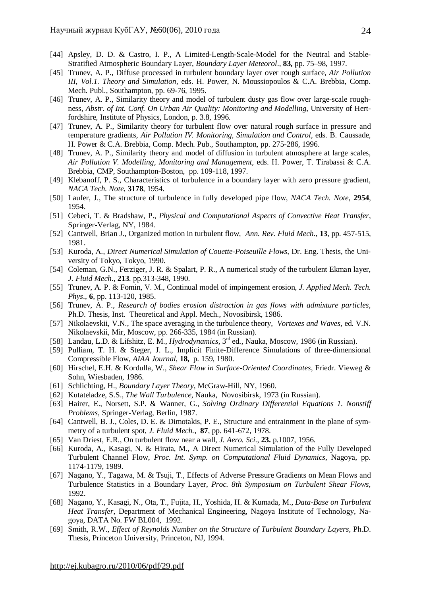- [44] Apsley, D. D. & Castro, I. P., A Limited-Length-Scale-Model for the Neutral and Stable-Stratified Atmospheric Boundary Layer, *Boundary Layer Meteorol*., **83,** pp. 75–98, 1997.
- [45] Trunev, A. P., Diffuse processed in turbulent boundary layer over rough surface, *Air Pollution III, Vol.1. Theory and Simulation,* eds. H. Power, N. Moussiopoulos & C.A. Brebbia, Comp. Mech. Publ., Southampton, pp. 69-76, 1995.
- [46] Trunev, A. P., Similarity theory and model of turbulent dusty gas flow over large-scale roughness, *Abstr. of Int. Conf. On Urban Air Quality: Monitoring and Modelling*, University of Hertfordshire, Institute of Physics, London, p. 3.8, 1996.
- [47] Trunev, A. P., Similarity theory for turbulent flow over natural rough surface in pressure and temperature gradients, *Air Pollution IV. Monitoring, Simulation and Control,* eds. B. Caussade, H. Power & C.A. Brebbia, Comp. Mech. Pub., Southampton, pp. 275-286, 1996.
- [48] Trunev, A. P., Similarity theory and model of diffusion in turbulent atmosphere at large scales, *Air Pollution V. Modelling, Monitoring and Management,* eds. H. Power, T. Tirabassi & C.A. Brebbia, CMP, Southampton-Boston, pp. 109-118, 1997.
- [49] Klebanoff, P. S., Characteristics of turbulence in a boundary layer with zero pressure gradient, *NACA Tech. Note*, **3178**, 1954.
- [50] Laufer, J., The structure of turbulence in fully developed pipe flow, *NACA Tech. Note*, **2954**, 1954.
- [51] Cebeci, T. & Bradshaw, P., *Physical and Computational Aspects of Convective Heat Transfer*, Springer-Verlag, NY, 1984.
- [52] Cantwell, Brian J., Organized motion in turbulent flow, *Ann. Rev. Fluid Mech*., **13**, pp. 457-515, 1981.
- [53] Kuroda, A., *Direct Numerical Simulation of Couette-Poiseuille Flows*, Dr. Eng. Thesis, the University of Tokyo, Tokyo, 1990.
- [54] Coleman, G.N., Ferziger, J. R. & Spalart, P. R., A numerical study of the turbulent Ekman layer, *J. Fluid Mech*., **213**. pp.313-348, 1990.
- [55] Trunev, A. P. & Fomin, V. M., Continual model of impingement erosion, *J. Applied Mech. Tech. Phys*., **6**, pp. 113-120, 1985.
- [56] Trunev, A. P., *Research of bodies erosion distraction in gas flows with admixture particles*, Ph.D. Thesis, Inst. Theoretical and Appl. Mech., Novosibirsk, 1986.
- [57] Nikolaevskii, V.N., The space averaging in the turbulence theory, *Vortexes and Waves,* ed. V.N. Nikolaevskii, Mir, Moscow, pp. 266-335, 1984 (in Russian).
- [58] Landau, L.D. & Lifshitz, E. M., *Hydrodynamics*, 3rd ed., Nauka, Moscow, 1986 (in Russian).
- [59] Pulliam, T. H. & Steger, J. L., Implicit Finite-Difference Simulations of three-dimensional Compressible Flow, *AIAA Journal*, **18,** p. 159, 1980.
- [60] Hirschel, E.H. & Kordulla, W., *Shear Flow in Surface-Oriented Coordinates*, Friedr. Vieweg & Sohn, Wiesbaden, 1986.
- [61] Schlichting, H., *Boundary Layer Theory*, McGraw-Hill, NY, 1960.
- [62] Kutateladze, S.S., *The Wall Turbulence*, Nauka, Novosibirsk, 1973 (in Russian).
- [63] Hairer, E., Norsett, S.P. & Wanner, G., *Solving Ordinary Differential Equations 1. Nonstiff Problems*, Springer-Verlag, Berlin, 1987.
- [64] Cantwell, B. J., Coles, D. E. & Dimotakis, P. E., Structure and entrainment in the plane of symmetry of a turbulent spot, *J. Fluid Mech.*, **87**, pp. 641-672, 1978.
- [65] Van Driest, E.R., On turbulent flow near a wall, *J. Aero. Sci*., **23.** p.1007, 1956.
- [66] Kuroda, A., Kasagi, N. & Hirata, M., A Direct Numerical Simulation of the Fully Developed Turbulent Channel Flow, *Proc. Int. Symp. on Computational Fluid Dynamics*, Nagoya, pp. 1174-1179, 1989.
- [67] Nagano, Y., Tagawa, M. & Tsuji, T., Effects of Adverse Pressure Gradients on Mean Flows and Turbulence Statistics in a Boundary Layer, *Proc. 8th Symposium on Turbulent Shear Flows*, 1992.
- [68] Nagano, Y., Kasagi, N., Ota, T., Fujita, H., Yoshida, H. & Kumada, M., *Data-Base on Turbulent Heat Transfer*, Department of Mechanical Engineering, Nagoya Institute of Technology, Nagoya, DATA No. FW BL004, 1992.
- [69] Smith, R.W., *Effect of Reynolds Number on the Structure of Turbulent Boundary Layers*, Ph.D. Thesis, Princeton University, Princeton, NJ, 1994.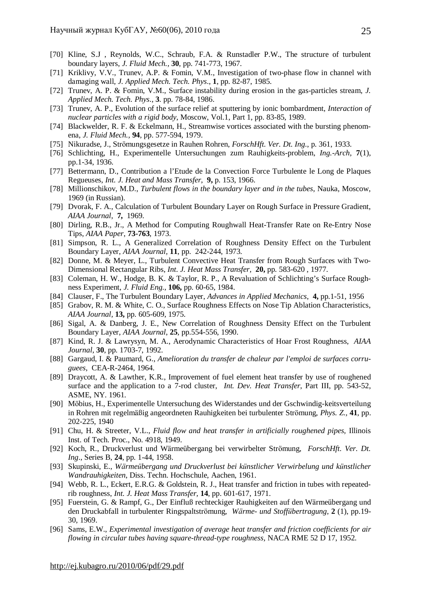- [70] Kline, S.J , Reynolds, W.C., Schraub, F.A. & Runstadler P.W., The structure of turbulent boundary layers, *J. Fluid Mech.,* **30**, pp. 741-773, 1967.
- [71] Kriklivy, V.V., Trunev, A.P. & Fomin, V.M., Investigation of two-phase flow in channel with damaging wall*, J. Applied Mech. Tech. Phys*., **1**, pp. 82-87, 1985.
- [72] Trunev, A. P. & Fomin, V.M., Surface instability during erosion in the gas-particles stream, *J. Applied Mech. Tech. Phys*., **3**. pp. 78-84, 1986.
- [73] Trunev, A. P., Evolution of the surface relief at sputtering by ionic bombardment, *Interaction of nuclear particles with a rigid body*, Moscow, Vol.1, Part 1, pp. 83-85, 1989.
- [74] Blackwelder, R. F. & Eckelmann, H., Streamwise vortices associated with the bursting phenomena, *J. Fluid Mech.,* **94**, pp. 577-594, 1979.
- [75] Nikuradse, J., Strömungsgesetze in Rauhen Rohren, *ForschHft. Ver. Dt. Ing.*, p. 361, 1933.
- [76] Schlichting, H., Experimentelle Untersuchungen zum Rauhigkeits-problem, *Ing.-Arch,* **7**(1), pp.1-34, 1936.
- [77] Bettermann, D., Contribution a l'Etude de la Convection Force Turbulente le Long de Plaques Regueuses, *Int. J. Heat and Mass Transfer*, **9,** p. 153, 1966.
- [78] Millionschikov, M.D., *Turbulent flows in the boundary layer and in the tubes*, Nauka, Moscow, 1969 (in Russian).
- [79] Dvorak, F. A., Calculation of Turbulent Boundary Layer on Rough Surface in Pressure Gradient, *AIAA Journal*, **7,** 1969.
- [80] Dirling, R.B., Jr., A Method for Computing Roughwall Heat-Transfer Rate on Re-Entry Nose Tips, *AIAA Paper*, **73-763**, 1973.
- [81] Simpson, R. L., A Generalized Correlation of Roughness Density Effect on the Turbulent Boundary Layer, *AIAA Journal,* **11**, pp. 242-244, 1973.
- [82] Donne, M. & Meyer, L., Turbulent Convective Heat Transfer from Rough Surfaces with Two-Dimensional Rectangular Ribs, *Int. J. Heat Mass Transfer,* **20,** pp. 583-620 , 1977.
- [83] Coleman, H. W., Hodge, B. K. & Taylor, R. P., A Revaluation of Schlichting's Surface Roughness Experiment, *J. Fluid Eng*., **106,** pp. 60-65, 1984.
- [84] Clauser, F., The Turbulent Boundary Layer, *Advances in Applied Mechanics*, **4,** pp.1-51, 1956
- [85] Grabov, R. M. & White, C. O., Surface Roughness Effects on Nose Tip Ablation Characteristics, *AIAA Journal,* **13,** pp. 605-609, 1975.
- [86] Sigal, A. & Danberg, J. E., New Correlation of Roughness Density Effect on the Turbulent Boundary Layer, *AIAA Journal*, **25**, pp.554-556, 1990.
- [87] Kind, R. J. & Lawrysyn, M. A., Aerodynamic Characteristics of Hoar Frost Roughness, *AIAA Journal*, **30**, pp. 1703-7, 1992.
- [88] Gargaud, I. & Paumard, G., *Amelioration du transfer de chaleur par l'emploi de surfaces corruguees*, CEA-R-2464, 1964.
- [89] Draycott, A. & Lawther, K.R., Improvement of fuel element heat transfer by use of roughened surface and the application to a 7-rod cluster, *Int. Dev. Heat Transfer*, Part III, pp. 543-52, ASME, NY. 1961.
- [90] Möbius, H., Experimentelle Untersuchung des Widerstandes und der Gschwindig-keitsverteilung in Rohren mit regelmäßig angeordneten Rauhigkeiten bei turbulenter Strömung, *Phys. Z.,* **41**, pp. 202-225, 1940
- [91] Chu, H. & Streeter, V.L., *Fluid flow and heat transfer in artificially roughened pipes,* Illinois Inst. of Tech. Proc., No. 4918, 1949.
- [92] Koch, R., Druckverlust und Wärmeübergang bei verwirbelter Strömung, *ForschHft. Ver. Dt. Ing*., Series B, **24**, pp. 1-44, 1958.
- [93] Skupinski, E., *Wärmeübergang und Druckverlust bei künstlicher Verwirbelung und künstlicher Wandrauhigkeiten*, Diss. Techn. Hochschule, Aachen, 1961.
- [94] Webb, R. L., Eckert, E.R.G. & Goldstein, R. J., Heat transfer and friction in tubes with repeatedrib roughness, *Int. J. Heat Mass Transfer,* **14**, pp. 601-617, 1971.
- [95] Fuerstein, G. & Rampf, G., Der Einfluß rechteckiger Rauhigkeiten auf den Wärmeübergang und den Druckabfall in turbulenter Ringspaltströmung, *Wärme- und Stoffübertragung*, **2** (1), pp.19- 30, 1969.
- [96] Sams, E.W., *Experimental investigation of average heat transfer and friction coefficients for air flowing in circular tubes having square-thread-type roughness,* NACA RME 52 D 17, 1952.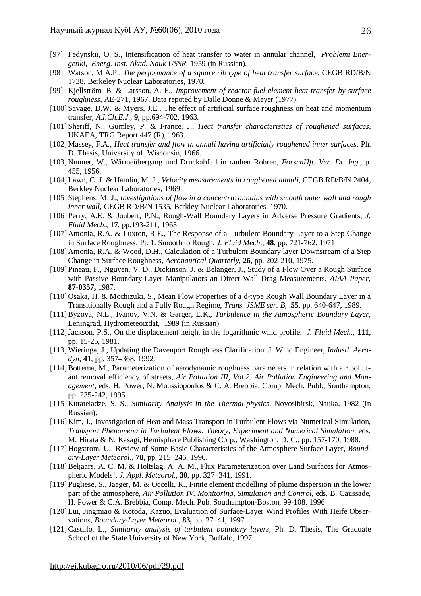- [97] Fedynskii, O. S., Intensification of heat transfer to water in annular channel, *Problemi Energetiki, Energ. Inst. Akad. Nauk USSR*, 1959 (in Russian).
- [98] Watson, M.A.P., *The performance of a square rib type of heat transfer surface,* CEGB RD/B/N 1738, Berkeley Nuclear Laboratories, 1970.
- [99] Kjellström, B. & Larsson, A. E., *Improvement of reactor fuel element heat transfer by surface roughness*, AE-271, 1967, Data repoted by Dalle Donne & Meyer (1977).
- [100] Savage, D.W. & Myers, J.E., The effect of artificial surface roughness on heat and momentum transfer, *A.I.Ch.E.J*., **9**, pp.694-702, 1963.
- [101] Sheriff, N., Gumley, P. & France, J., *Heat transfer characteristics of roughened surfaces,* UKAEA, TRG Report 447 (R), 1963.
- [102]Massey, F.A., *Heat transfer and flow in annuli having artificially roughened inner surfaces*, Ph. D. Thesis, University of Wisconsin, 1966.
- [103] Nunner, W., Wärmeübergang und Druckabfall in rauhen Rohren, *ForschHft. Ver. Dt. Ing*., p. 455, 1956.
- [104]Lawn, C. J. & Hamlin, M. J., *Velocity measurements in roughened annuli*, CEGB RD/B/N 2404, Berkley Nuclear Laboratories, 1969
- [105] Stephens, M. J., *Investigations of flow in a concentric annulus with smooth outer wall and rough inner wall,* CEGB RD/B/N 1535, Berkley Nuclear Laboratories, 1970.
- [106] Perry, A.E. & Joubert, P.N., Rough-Wall Boundary Layers in Adverse Pressure Gradients, *J. Fluid Mech*., **17**, pp.193-211, 1963.
- [107] Antonia, R.A. & Luxton, R.E., The Response of a Turbulent Boundary Layer to a Step Change in Surface Roughness, Pt. 1. Smooth to Rough, *J. Fluid Mech*., **48**, pp. 721-762. 1971
- [108] Antonia, R.A. & Wood, D.H., Calculation of a Turbulent Boundary layer Downstream of a Step Change in Surface Roughness, *Aeronautical Quarterly*, **26**, pp. 202-210, 1975.
- [109] Pineau, F., Nguyen, V. D., Dickinson, J. & Belanger, J., Study of a Flow Over a Rough Surface with Passive Boundary-Layer Manipulators an Direct Wall Drag Measurements, *AIAA Paper*, **87-0357,** 1987.
- [110] Osaka, H. & Mochizuki, S., Mean Flow Properties of a d-type Rough Wall Boundary Layer in a Transitionally Rough and a Fully Rough Regime, *Trans. JSME ser. B,* .**55**, pp. 640-647, 1989.
- [111]Byzova, N.L., Ivanov, V.N. & Garger, E.K., *Turbulence in the Atmospheric Boundary Layer*, Leningrad, Hydrometeoizdat, 1989 (in Russian).
- [112]Jackson, P.S., On the displacement height in the logarithmic wind profile. *J. Fluid Mech*., **111**, pp. 15-25, 1981.
- [113]Wieringa, J., Updating the Davenport Roughness Clarification. J. Wind Engineer, *Industl. Aerodyn*, **41**, pp. 357–368, 1992.
- [114]Bottema, M., Parameterization of aerodynamic roughness parameters in relation with air pollutant removal efficiency of streets, *Air Pollution III, Vol.2. Air Pollution Engineering and Management*, eds. H. Power, N. Moussiopoulos & C. A. Brebbia, Comp. Mech. Publ., Southampton, pp. 235-242, 1995.
- [115] Kutateladze, S. S., *Similarity Analysis in the Thermal-physics*, Novosibirsk, Nauka, 1982 (in Russian).
- [116] Kim, J., Investigation of Heat and Mass Transport in Turbulent Flows via Numerical Simulation, *Transport Phenomena in Turbulent Flows: Theory, Experiment and Numerical Simulation*, eds. M. Hirata & N. Kasagi, Hemisphere Publishing Corp., Washington, D. C., pp. 157-170, 1988.
- [117] Hogstrom, U., Review of Some Basic Characteristics of the Atmosphere Surface Layer, *Boundary-Layer Meteorol.,* **78**, pp. 215–246, 1996.
- [118]Beljaars, A. C. M. & Holtslag, A. A. M., Flux Parameterization over Land Surfaces for Atmospheric Models', *J. Appl. Meteorol.,* **30**, pp. 327–341, 1991.
- [119] Pugliese, S., Jaeger, M. & Occelli, R., Finite element modelling of plume dispersion in the lower part of the atmosphere, *Air Pollution IV. Monitoring, Simulation and Control*, eds. B. Caussade, H. Power & C.A. Brebbia, Comp. Mech. Pub. Southampton-Boston, 99-108. 1996
- [120]Lui, Jingmiao & Kotoda, Kazuo, Evaluation of Surface-Layer Wind Profiles With Heife Observations, *Boundary-Layer Meteorol.,* **83,** pp. 27–41, 1997.
- [121]Castillo, L., *Similarity analysis of turbulent boundary layers*, Ph. D. Thesis, The Graduate School of the State University of New York, Buffalo, 1997.